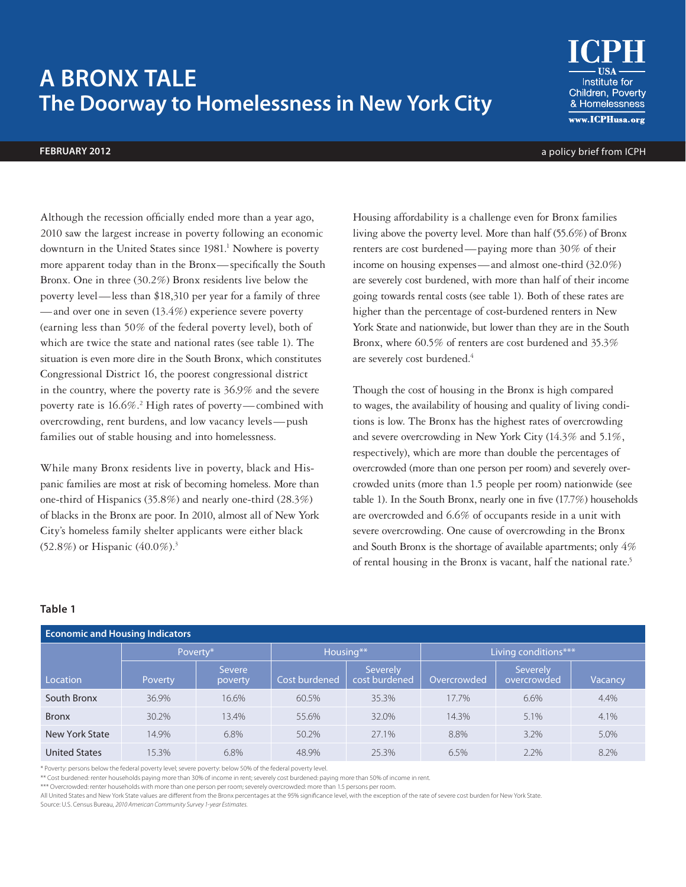# **A BRONX TALE The Doorway to Homelessness in New York City**

Institute for Children, Poverty & Homelessness www.ICPHusa.org

**FEBRUARY 2012** a policy brief from ICPH

Although the recession officially ended more than a year ago, 2010 saw the largest increase in poverty following an economic downturn in the United States since 1981.<sup>1</sup> Nowhere is poverty more apparent today than in the Bronx—specifically the South Bronx. One in three (30.2%) Bronx residents live below the poverty level—less than \$18,310 per year for a family of three —and over one in seven (13.4%) experience severe poverty (earning less than 50% of the federal poverty level), both of which are twice the state and national rates (see table 1). The situation is even more dire in the South Bronx, which constitutes Congressional District 16, the poorest congressional district in the country, where the poverty rate is 36.9% and the severe poverty rate is 16.6%.<sup>2</sup> High rates of poverty—combined with overcrowding, rent burdens, and low vacancy levels—push families out of stable housing and into homelessness.

While many Bronx residents live in poverty, black and Hispanic families are most at risk of becoming homeless. More than one-third of Hispanics (35.8%) and nearly one-third (28.3%) of blacks in the Bronx are poor. In 2010, almost all of New York City's homeless family shelter applicants were either black (52.8%) or Hispanic  $(40.0\%)$ <sup>3</sup>

Housing affordability is a challenge even for Bronx families living above the poverty level. More than half (55.6%) of Bronx renters are cost burdened—paying more than 30% of their income on housing expenses—and almost one-third (32.0%) are severely cost burdened, with more than half of their income going towards rental costs (see table 1). Both of these rates are higher than the percentage of cost-burdened renters in New York State and nationwide, but lower than they are in the South Bronx, where 60.5% of renters are cost burdened and 35.3% are severely cost burdened.<sup>4</sup>

Though the cost of housing in the Bronx is high compared to wages, the availability of housing and quality of living conditions is low. The Bronx has the highest rates of overcrowding and severe overcrowding in New York City (14.3% and 5.1%, respectively), which are more than double the percentages of overcrowded (more than one person per room) and severely overcrowded units (more than 1.5 people per room) nationwide (see table 1). In the South Bronx, nearly one in five (17.7%) households are overcrowded and 6.6% of occupants reside in a unit with severe overcrowding. One cause of overcrowding in the Bronx and South Bronx is the shortage of available apartments; only 4% of rental housing in the Bronx is vacant, half the national rate.<sup>5</sup>

## **Table 1**

| <b>Economic and Housing Indicators</b> |          |                          |               |                           |                      |                          |         |
|----------------------------------------|----------|--------------------------|---------------|---------------------------|----------------------|--------------------------|---------|
|                                        | Poverty* |                          | Housing**     |                           | Living conditions*** |                          |         |
| Location                               | Poverty  | <b>Severe</b><br>poverty | Cost burdened | Severely<br>cost burdened | Overcrowded          | Severely<br>overcrowded' | Vacancy |
| South Bronx                            | 36.9%    | 16.6%                    | 60.5%         | 35.3%                     | 17.7%                | 6.6%                     | 4.4%    |
| <b>Bronx</b>                           | 30.2%    | 13.4%                    | 55.6%         | 32.0%                     | 14.3%                | 5.1%                     | 4.1%    |
| New York State                         | 14.9%    | 6.8%                     | 50.2%         | 27.1%                     | 8.8%                 | 3.2%                     | 5.0%    |
| <b>United States</b>                   | 15.3%    | 6.8%                     | 48.9%         | 25.3%                     | 6.5%                 | 2.2%                     | 8.2%    |

\* Poverty: persons below the federal poverty level; severe poverty: below 50% of the federal poverty level.

\*\* Cost burdened: renter households paying more than 30% of income in rent; severely cost burdened: paying more than 50% of income in rent.

\*\*\* Overcrowded: renter households with more than one person per room; severely overcrowded: more than 1.5 persons per room

All United States and New York State values are different from the Bronx percentages at the 95% significance level, with the exception of the rate of severe cost burden for New York State.

Source: U.S. Census Bureau, *2010 American Community Survey 1-year Estimates.*